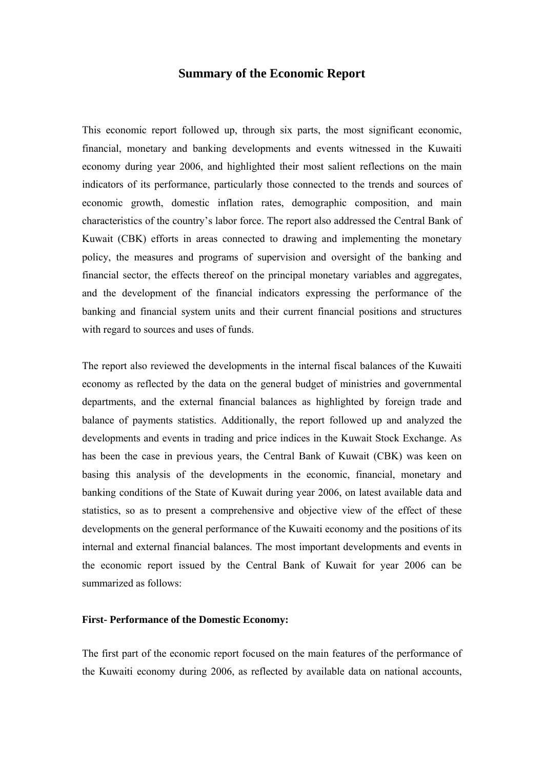# **Summary of the Economic Report**

This economic report followed up, through six parts, the most significant economic, financial, monetary and banking developments and events witnessed in the Kuwaiti economy during year 2006, and highlighted their most salient reflections on the main indicators of its performance, particularly those connected to the trends and sources of economic growth, domestic inflation rates, demographic composition, and main characteristics of the country's labor force. The report also addressed the Central Bank of Kuwait (CBK) efforts in areas connected to drawing and implementing the monetary policy, the measures and programs of supervision and oversight of the banking and financial sector, the effects thereof on the principal monetary variables and aggregates, and the development of the financial indicators expressing the performance of the banking and financial system units and their current financial positions and structures with regard to sources and uses of funds.

The report also reviewed the developments in the internal fiscal balances of the Kuwaiti economy as reflected by the data on the general budget of ministries and governmental departments, and the external financial balances as highlighted by foreign trade and balance of payments statistics. Additionally, the report followed up and analyzed the developments and events in trading and price indices in the Kuwait Stock Exchange. As has been the case in previous years, the Central Bank of Kuwait (CBK) was keen on basing this analysis of the developments in the economic, financial, monetary and banking conditions of the State of Kuwait during year 2006, on latest available data and statistics, so as to present a comprehensive and objective view of the effect of these developments on the general performance of the Kuwaiti economy and the positions of its internal and external financial balances. The most important developments and events in the economic report issued by the Central Bank of Kuwait for year 2006 can be summarized as follows:

# **First- Performance of the Domestic Economy:**

The first part of the economic report focused on the main features of the performance of the Kuwaiti economy during 2006, as reflected by available data on national accounts,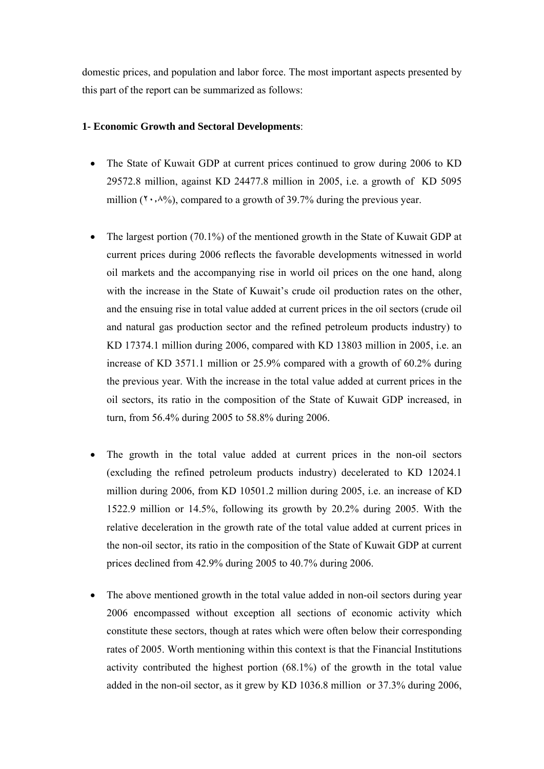domestic prices, and population and labor force. The most important aspects presented by this part of the report can be summarized as follows:

## **1- Economic Growth and Sectoral Developments**:

- The State of Kuwait GDP at current prices continued to grow during 2006 to KD 29572.8 million, against KD 24477.8 million in 2005, i.e. a growth of KD 5095 million  $(1, 0, 0)$ , compared to a growth of 39.7% during the previous year.
- The largest portion (70.1%) of the mentioned growth in the State of Kuwait GDP at current prices during 2006 reflects the favorable developments witnessed in world oil markets and the accompanying rise in world oil prices on the one hand, along with the increase in the State of Kuwait's crude oil production rates on the other, and the ensuing rise in total value added at current prices in the oil sectors (crude oil and natural gas production sector and the refined petroleum products industry) to KD 17374.1 million during 2006, compared with KD 13803 million in 2005, i.e. an increase of KD 3571.1 million or 25.9% compared with a growth of 60.2% during the previous year. With the increase in the total value added at current prices in the oil sectors, its ratio in the composition of the State of Kuwait GDP increased, in turn, from 56.4% during 2005 to 58.8% during 2006.
- The growth in the total value added at current prices in the non-oil sectors (excluding the refined petroleum products industry) decelerated to KD 12024.1 million during 2006, from KD 10501.2 million during 2005, i.e. an increase of KD 1522.9 million or 14.5%, following its growth by 20.2% during 2005. With the relative deceleration in the growth rate of the total value added at current prices in the non-oil sector, its ratio in the composition of the State of Kuwait GDP at current prices declined from 42.9% during 2005 to 40.7% during 2006.
- The above mentioned growth in the total value added in non-oil sectors during year 2006 encompassed without exception all sections of economic activity which constitute these sectors, though at rates which were often below their corresponding rates of 2005. Worth mentioning within this context is that the Financial Institutions activity contributed the highest portion (68.1%) of the growth in the total value added in the non-oil sector, as it grew by KD 1036.8 million or 37.3% during 2006,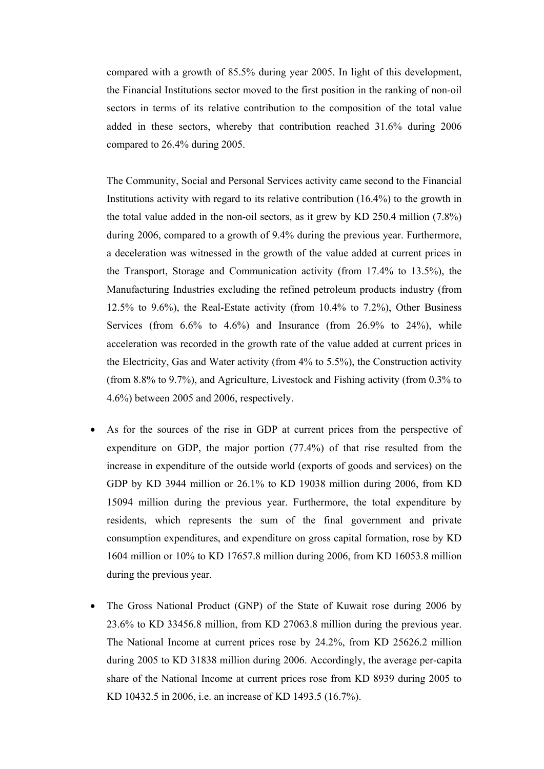compared with a growth of 85.5% during year 2005. In light of this development, the Financial Institutions sector moved to the first position in the ranking of non-oil sectors in terms of its relative contribution to the composition of the total value added in these sectors, whereby that contribution reached 31.6% during 2006 compared to 26.4% during 2005.

The Community, Social and Personal Services activity came second to the Financial Institutions activity with regard to its relative contribution (16.4%) to the growth in the total value added in the non-oil sectors, as it grew by KD 250.4 million (7.8%) during 2006, compared to a growth of 9.4% during the previous year. Furthermore, a deceleration was witnessed in the growth of the value added at current prices in the Transport, Storage and Communication activity (from 17.4% to 13.5%), the Manufacturing Industries excluding the refined petroleum products industry (from 12.5% to 9.6%), the Real-Estate activity (from 10.4% to 7.2%), Other Business Services (from  $6.6\%$  to  $4.6\%$ ) and Insurance (from  $26.9\%$  to  $24\%$ ), while acceleration was recorded in the growth rate of the value added at current prices in the Electricity, Gas and Water activity (from 4% to 5.5%), the Construction activity (from 8.8% to 9.7%), and Agriculture, Livestock and Fishing activity (from 0.3% to 4.6%) between 2005 and 2006, respectively.

- As for the sources of the rise in GDP at current prices from the perspective of expenditure on GDP, the major portion (77.4%) of that rise resulted from the increase in expenditure of the outside world (exports of goods and services) on the GDP by KD 3944 million or 26.1% to KD 19038 million during 2006, from KD 15094 million during the previous year. Furthermore, the total expenditure by residents, which represents the sum of the final government and private consumption expenditures, and expenditure on gross capital formation, rose by KD 1604 million or 10% to KD 17657.8 million during 2006, from KD 16053.8 million during the previous year.
- The Gross National Product (GNP) of the State of Kuwait rose during 2006 by 23.6% to KD 33456.8 million, from KD 27063.8 million during the previous year. The National Income at current prices rose by 24.2%, from KD 25626.2 million during 2005 to KD 31838 million during 2006. Accordingly, the average per-capita share of the National Income at current prices rose from KD 8939 during 2005 to KD 10432.5 in 2006, i.e. an increase of KD 1493.5 (16.7%).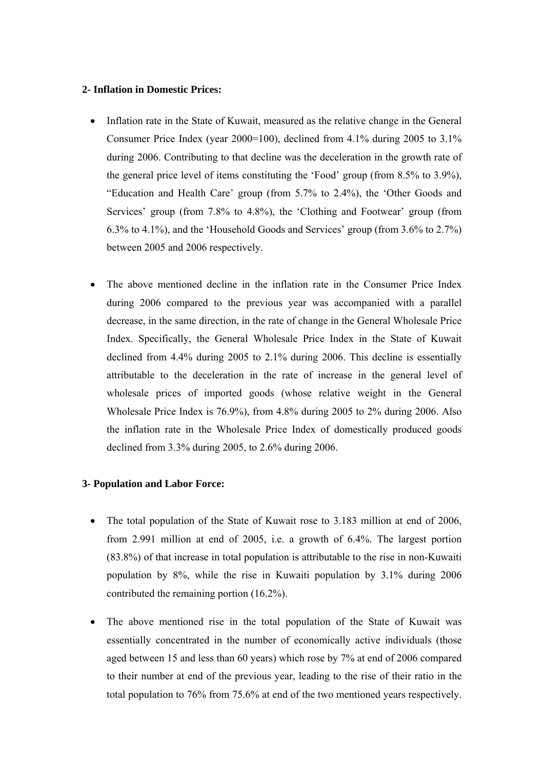### **2- Inflation in Domestic Prices:**

- Inflation rate in the State of Kuwait, measured as the relative change in the General Consumer Price Index (year 2000=100), declined from 4.1% during 2005 to 3.1% during 2006. Contributing to that decline was the deceleration in the growth rate of the general price level of items constituting the 'Food' group (from 8.5% to 3.9%), "Education and Health Care' group (from 5.7% to 2.4%), the 'Other Goods and Services' group (from 7.8% to 4.8%), the 'Clothing and Footwear' group (from 6.3% to 4.1%), and the 'Household Goods and Services' group (from 3.6% to 2.7%) between 2005 and 2006 respectively.
- The above mentioned decline in the inflation rate in the Consumer Price Index during 2006 compared to the previous year was accompanied with a parallel decrease, in the same direction, in the rate of change in the General Wholesale Price Index. Specifically, the General Wholesale Price Index in the State of Kuwait declined from 4.4% during 2005 to 2.1% during 2006. This decline is essentially attributable to the deceleration in the rate of increase in the general level of wholesale prices of imported goods (whose relative weight in the General Wholesale Price Index is 76.9%), from 4.8% during 2005 to 2% during 2006. Also the inflation rate in the Wholesale Price Index of domestically produced goods declined from 3.3% during 2005, to 2.6% during 2006.

## **3- Population and Labor Force:**

- The total population of the State of Kuwait rose to 3.183 million at end of 2006, from 2.991 million at end of 2005, i.e. a growth of 6.4%. The largest portion (83.8%) of that increase in total population is attributable to the rise in non-Kuwaiti population by 8%, while the rise in Kuwaiti population by 3.1% during 2006 contributed the remaining portion (16.2%).
- The above mentioned rise in the total population of the State of Kuwait was essentially concentrated in the number of economically active individuals (those aged between 15 and less than 60 years) which rose by 7% at end of 2006 compared to their number at end of the previous year, leading to the rise of their ratio in the total population to 76% from 75.6% at end of the two mentioned years respectively.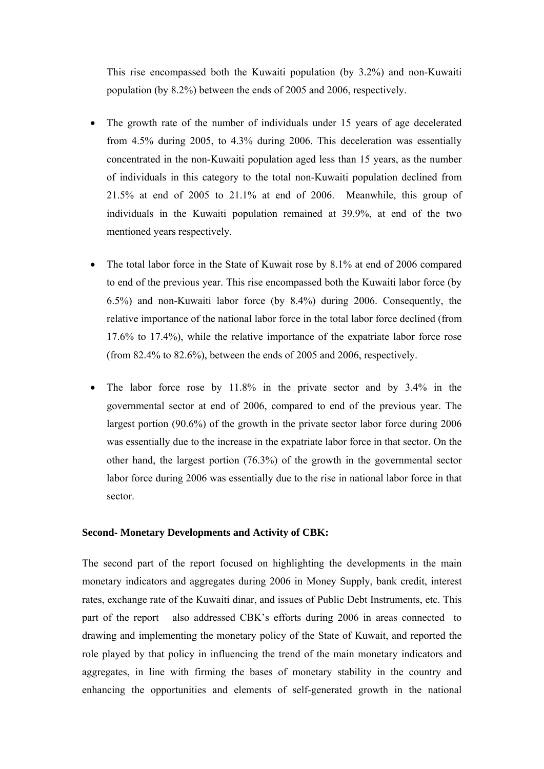This rise encompassed both the Kuwaiti population (by 3.2%) and non-Kuwaiti population (by 8.2%) between the ends of 2005 and 2006, respectively.

- The growth rate of the number of individuals under 15 years of age decelerated from 4.5% during 2005, to 4.3% during 2006. This deceleration was essentially concentrated in the non-Kuwaiti population aged less than 15 years, as the number of individuals in this category to the total non-Kuwaiti population declined from 21.5% at end of 2005 to 21.1% at end of 2006. Meanwhile, this group of individuals in the Kuwaiti population remained at 39.9%, at end of the two mentioned years respectively.
- The total labor force in the State of Kuwait rose by 8.1% at end of 2006 compared to end of the previous year. This rise encompassed both the Kuwaiti labor force (by 6.5%) and non-Kuwaiti labor force (by 8.4%) during 2006. Consequently, the relative importance of the national labor force in the total labor force declined (from 17.6% to 17.4%), while the relative importance of the expatriate labor force rose (from 82.4% to 82.6%), between the ends of 2005 and 2006, respectively.
- The labor force rose by 11.8% in the private sector and by 3.4% in the governmental sector at end of 2006, compared to end of the previous year. The largest portion (90.6%) of the growth in the private sector labor force during 2006 was essentially due to the increase in the expatriate labor force in that sector. On the other hand, the largest portion (76.3%) of the growth in the governmental sector labor force during 2006 was essentially due to the rise in national labor force in that sector.

### **Second- Monetary Developments and Activity of CBK:**

The second part of the report focused on highlighting the developments in the main monetary indicators and aggregates during 2006 in Money Supply, bank credit, interest rates, exchange rate of the Kuwaiti dinar, and issues of Public Debt Instruments, etc. This part of the report also addressed CBK's efforts during 2006 in areas connected to drawing and implementing the monetary policy of the State of Kuwait, and reported the role played by that policy in influencing the trend of the main monetary indicators and aggregates, in line with firming the bases of monetary stability in the country and enhancing the opportunities and elements of self-generated growth in the national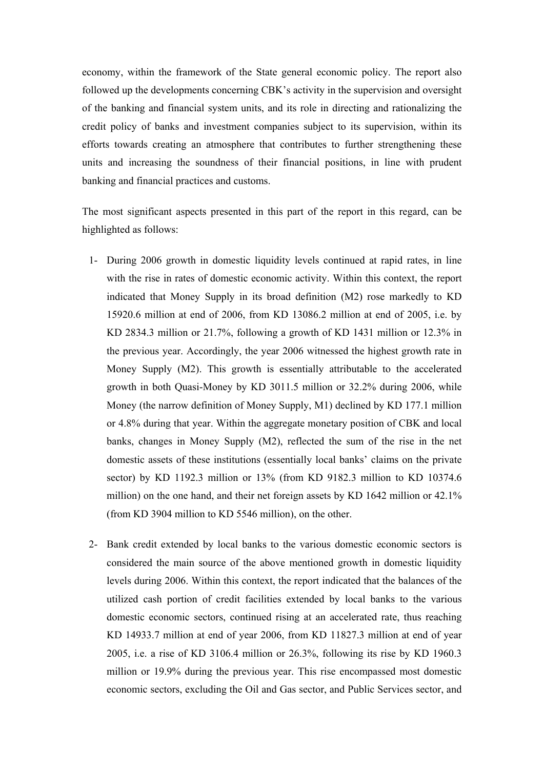economy, within the framework of the State general economic policy. The report also followed up the developments concerning CBK's activity in the supervision and oversight of the banking and financial system units, and its role in directing and rationalizing the credit policy of banks and investment companies subject to its supervision, within its efforts towards creating an atmosphere that contributes to further strengthening these units and increasing the soundness of their financial positions, in line with prudent banking and financial practices and customs.

The most significant aspects presented in this part of the report in this regard, can be highlighted as follows:

- 1- During 2006 growth in domestic liquidity levels continued at rapid rates, in line with the rise in rates of domestic economic activity. Within this context, the report indicated that Money Supply in its broad definition (M2) rose markedly to KD 15920.6 million at end of 2006, from KD 13086.2 million at end of 2005, i.e. by KD 2834.3 million or 21.7%, following a growth of KD 1431 million or 12.3% in the previous year. Accordingly, the year 2006 witnessed the highest growth rate in Money Supply (M2). This growth is essentially attributable to the accelerated growth in both Quasi-Money by KD 3011.5 million or 32.2% during 2006, while Money (the narrow definition of Money Supply, M1) declined by KD 177.1 million or 4.8% during that year. Within the aggregate monetary position of CBK and local banks, changes in Money Supply (M2), reflected the sum of the rise in the net domestic assets of these institutions (essentially local banks' claims on the private sector) by KD 1192.3 million or 13% (from KD 9182.3 million to KD 10374.6 million) on the one hand, and their net foreign assets by KD 1642 million or 42.1% (from KD 3904 million to KD 5546 million), on the other.
- 2- Bank credit extended by local banks to the various domestic economic sectors is considered the main source of the above mentioned growth in domestic liquidity levels during 2006. Within this context, the report indicated that the balances of the utilized cash portion of credit facilities extended by local banks to the various domestic economic sectors, continued rising at an accelerated rate, thus reaching KD 14933.7 million at end of year 2006, from KD 11827.3 million at end of year 2005, i.e. a rise of KD 3106.4 million or 26.3%, following its rise by KD 1960.3 million or 19.9% during the previous year. This rise encompassed most domestic economic sectors, excluding the Oil and Gas sector, and Public Services sector, and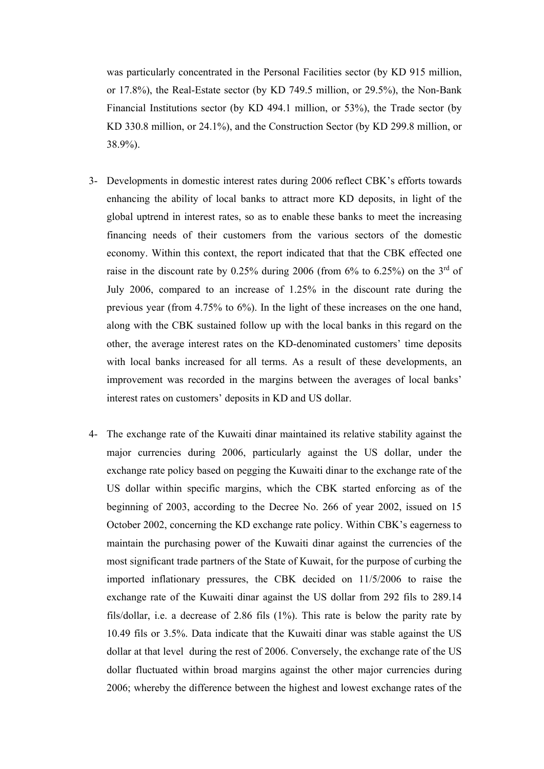was particularly concentrated in the Personal Facilities sector (by KD 915 million, or 17.8%), the Real-Estate sector (by KD 749.5 million, or 29.5%), the Non-Bank Financial Institutions sector (by KD 494.1 million, or 53%), the Trade sector (by KD 330.8 million, or 24.1%), and the Construction Sector (by KD 299.8 million, or 38.9%).

- 3- Developments in domestic interest rates during 2006 reflect CBK's efforts towards enhancing the ability of local banks to attract more KD deposits, in light of the global uptrend in interest rates, so as to enable these banks to meet the increasing financing needs of their customers from the various sectors of the domestic economy. Within this context, the report indicated that that the CBK effected one raise in the discount rate by  $0.25\%$  during 2006 (from 6% to 6.25%) on the 3<sup>rd</sup> of July 2006, compared to an increase of 1.25% in the discount rate during the previous year (from  $4.75\%$  to  $6\%$ ). In the light of these increases on the one hand, along with the CBK sustained follow up with the local banks in this regard on the other, the average interest rates on the KD-denominated customers' time deposits with local banks increased for all terms. As a result of these developments, an improvement was recorded in the margins between the averages of local banks' interest rates on customers' deposits in KD and US dollar.
- 4- The exchange rate of the Kuwaiti dinar maintained its relative stability against the major currencies during 2006, particularly against the US dollar, under the exchange rate policy based on pegging the Kuwaiti dinar to the exchange rate of the US dollar within specific margins, which the CBK started enforcing as of the beginning of 2003, according to the Decree No. 266 of year 2002, issued on 15 October 2002, concerning the KD exchange rate policy. Within CBK's eagerness to maintain the purchasing power of the Kuwaiti dinar against the currencies of the most significant trade partners of the State of Kuwait, for the purpose of curbing the imported inflationary pressures, the CBK decided on 11/5/2006 to raise the exchange rate of the Kuwaiti dinar against the US dollar from 292 fils to 289.14 fils/dollar, i.e. a decrease of 2.86 fils (1%). This rate is below the parity rate by 10.49 fils or 3.5%. Data indicate that the Kuwaiti dinar was stable against the US dollar at that level during the rest of 2006. Conversely, the exchange rate of the US dollar fluctuated within broad margins against the other major currencies during 2006; whereby the difference between the highest and lowest exchange rates of the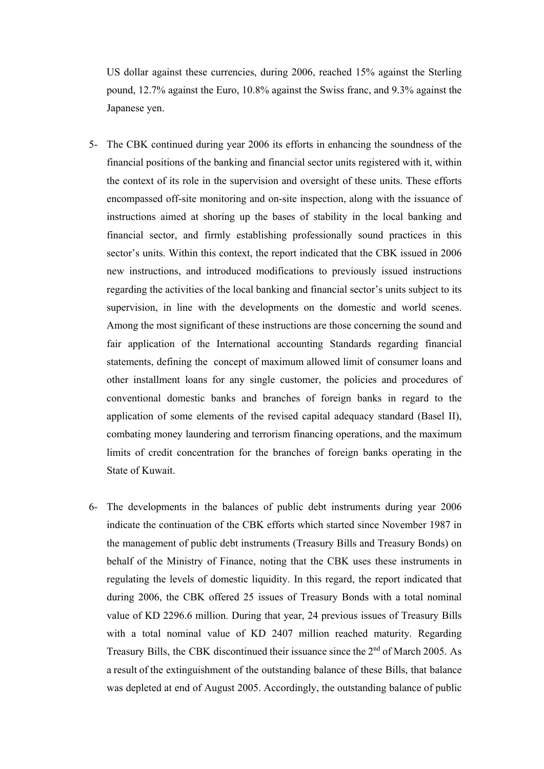US dollar against these currencies, during 2006, reached 15% against the Sterling pound, 12.7% against the Euro, 10.8% against the Swiss franc, and 9.3% against the Japanese yen.

- 5- The CBK continued during year 2006 its efforts in enhancing the soundness of the financial positions of the banking and financial sector units registered with it, within the context of its role in the supervision and oversight of these units. These efforts encompassed off-site monitoring and on-site inspection, along with the issuance of instructions aimed at shoring up the bases of stability in the local banking and financial sector, and firmly establishing professionally sound practices in this sector's units. Within this context, the report indicated that the CBK issued in 2006 new instructions, and introduced modifications to previously issued instructions regarding the activities of the local banking and financial sector's units subject to its supervision, in line with the developments on the domestic and world scenes. Among the most significant of these instructions are those concerning the sound and fair application of the International accounting Standards regarding financial statements, defining the concept of maximum allowed limit of consumer loans and other installment loans for any single customer, the policies and procedures of conventional domestic banks and branches of foreign banks in regard to the application of some elements of the revised capital adequacy standard (Basel II), combating money laundering and terrorism financing operations, and the maximum limits of credit concentration for the branches of foreign banks operating in the State of Kuwait.
- 6- The developments in the balances of public debt instruments during year 2006 indicate the continuation of the CBK efforts which started since November 1987 in the management of public debt instruments (Treasury Bills and Treasury Bonds) on behalf of the Ministry of Finance, noting that the CBK uses these instruments in regulating the levels of domestic liquidity. In this regard, the report indicated that during 2006, the CBK offered 25 issues of Treasury Bonds with a total nominal value of KD 2296.6 million. During that year, 24 previous issues of Treasury Bills with a total nominal value of KD 2407 million reached maturity. Regarding Treasury Bills, the CBK discontinued their issuance since the  $2<sup>nd</sup>$  of March 2005. As a result of the extinguishment of the outstanding balance of these Bills, that balance was depleted at end of August 2005. Accordingly, the outstanding balance of public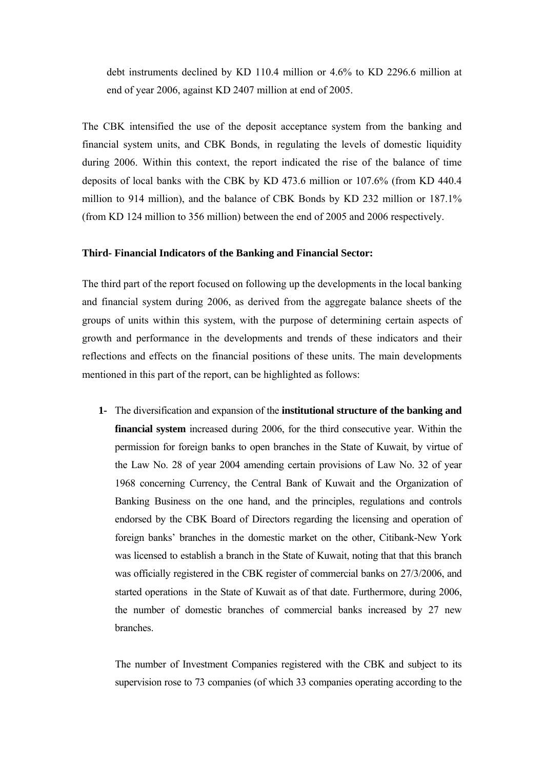debt instruments declined by KD 110.4 million or 4.6% to KD 2296.6 million at end of year 2006, against KD 2407 million at end of 2005.

The CBK intensified the use of the deposit acceptance system from the banking and financial system units, and CBK Bonds, in regulating the levels of domestic liquidity during 2006. Within this context, the report indicated the rise of the balance of time deposits of local banks with the CBK by KD 473.6 million or 107.6% (from KD 440.4 million to 914 million), and the balance of CBK Bonds by KD 232 million or 187.1% (from KD 124 million to 356 million) between the end of 2005 and 2006 respectively.

### **Third- Financial Indicators of the Banking and Financial Sector:**

The third part of the report focused on following up the developments in the local banking and financial system during 2006, as derived from the aggregate balance sheets of the groups of units within this system, with the purpose of determining certain aspects of growth and performance in the developments and trends of these indicators and their reflections and effects on the financial positions of these units. The main developments mentioned in this part of the report, can be highlighted as follows:

**1-** The diversification and expansion of the **institutional structure of the banking and financial system** increased during 2006, for the third consecutive year. Within the permission for foreign banks to open branches in the State of Kuwait, by virtue of the Law No. 28 of year 2004 amending certain provisions of Law No. 32 of year 1968 concerning Currency, the Central Bank of Kuwait and the Organization of Banking Business on the one hand, and the principles, regulations and controls endorsed by the CBK Board of Directors regarding the licensing and operation of foreign banks' branches in the domestic market on the other, Citibank-New York was licensed to establish a branch in the State of Kuwait, noting that that this branch was officially registered in the CBK register of commercial banks on 27/3/2006, and started operations in the State of Kuwait as of that date. Furthermore, during 2006, the number of domestic branches of commercial banks increased by 27 new branches.

The number of Investment Companies registered with the CBK and subject to its supervision rose to 73 companies (of which 33 companies operating according to the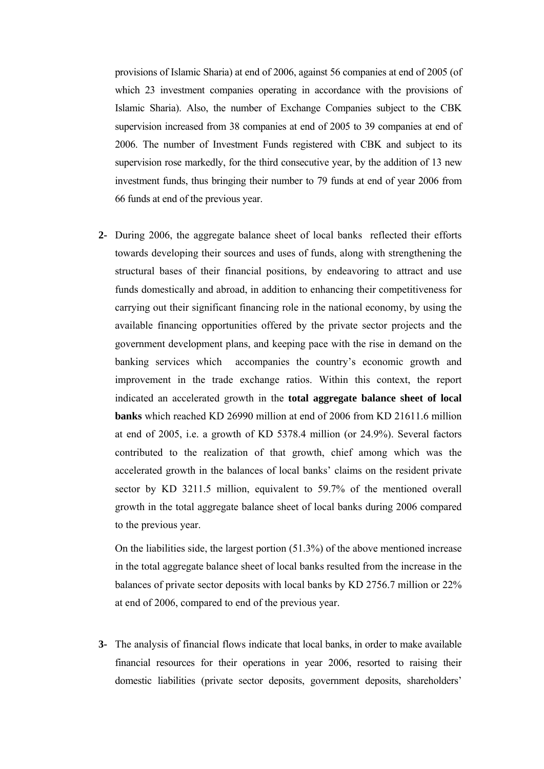provisions of Islamic Sharia) at end of 2006, against 56 companies at end of 2005 (of which 23 investment companies operating in accordance with the provisions of Islamic Sharia). Also, the number of Exchange Companies subject to the CBK supervision increased from 38 companies at end of 2005 to 39 companies at end of 2006. The number of Investment Funds registered with CBK and subject to its supervision rose markedly, for the third consecutive year, by the addition of 13 new investment funds, thus bringing their number to 79 funds at end of year 2006 from 66 funds at end of the previous year.

**2-** During 2006, the aggregate balance sheet of local banks reflected their efforts towards developing their sources and uses of funds, along with strengthening the structural bases of their financial positions, by endeavoring to attract and use funds domestically and abroad, in addition to enhancing their competitiveness for carrying out their significant financing role in the national economy, by using the available financing opportunities offered by the private sector projects and the government development plans, and keeping pace with the rise in demand on the banking services which accompanies the country's economic growth and improvement in the trade exchange ratios. Within this context, the report indicated an accelerated growth in the **total aggregate balance sheet of local banks** which reached KD 26990 million at end of 2006 from KD 21611.6 million at end of 2005, i.e. a growth of KD 5378.4 million (or 24.9%). Several factors contributed to the realization of that growth, chief among which was the accelerated growth in the balances of local banks' claims on the resident private sector by KD 3211.5 million, equivalent to 59.7% of the mentioned overall growth in the total aggregate balance sheet of local banks during 2006 compared to the previous year.

On the liabilities side, the largest portion (51.3%) of the above mentioned increase in the total aggregate balance sheet of local banks resulted from the increase in the balances of private sector deposits with local banks by KD 2756.7 million or 22% at end of 2006, compared to end of the previous year.

**3-** The analysis of financial flows indicate that local banks, in order to make available financial resources for their operations in year 2006, resorted to raising their domestic liabilities (private sector deposits, government deposits, shareholders'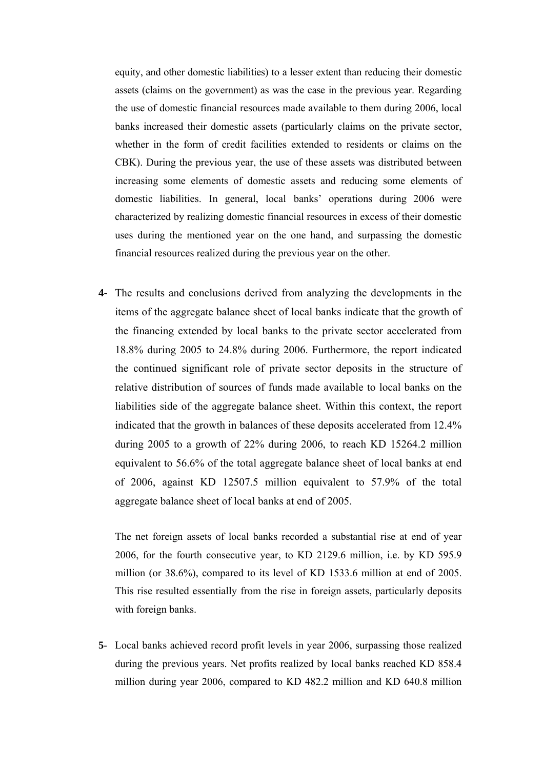equity, and other domestic liabilities) to a lesser extent than reducing their domestic assets (claims on the government) as was the case in the previous year. Regarding the use of domestic financial resources made available to them during 2006, local banks increased their domestic assets (particularly claims on the private sector, whether in the form of credit facilities extended to residents or claims on the CBK). During the previous year, the use of these assets was distributed between increasing some elements of domestic assets and reducing some elements of domestic liabilities. In general, local banks' operations during 2006 were characterized by realizing domestic financial resources in excess of their domestic uses during the mentioned year on the one hand, and surpassing the domestic financial resources realized during the previous year on the other.

**4-** The results and conclusions derived from analyzing the developments in the items of the aggregate balance sheet of local banks indicate that the growth of the financing extended by local banks to the private sector accelerated from 18.8% during 2005 to 24.8% during 2006. Furthermore, the report indicated the continued significant role of private sector deposits in the structure of relative distribution of sources of funds made available to local banks on the liabilities side of the aggregate balance sheet. Within this context, the report indicated that the growth in balances of these deposits accelerated from 12.4% during 2005 to a growth of 22% during 2006, to reach KD 15264.2 million equivalent to 56.6% of the total aggregate balance sheet of local banks at end of 2006, against KD 12507.5 million equivalent to 57.9% of the total aggregate balance sheet of local banks at end of 2005.

The net foreign assets of local banks recorded a substantial rise at end of year 2006, for the fourth consecutive year, to KD 2129.6 million, i.e. by KD 595.9 million (or 38.6%), compared to its level of KD 1533.6 million at end of 2005. This rise resulted essentially from the rise in foreign assets, particularly deposits with foreign banks.

**5**- Local banks achieved record profit levels in year 2006, surpassing those realized during the previous years. Net profits realized by local banks reached KD 858.4 million during year 2006, compared to KD 482.2 million and KD 640.8 million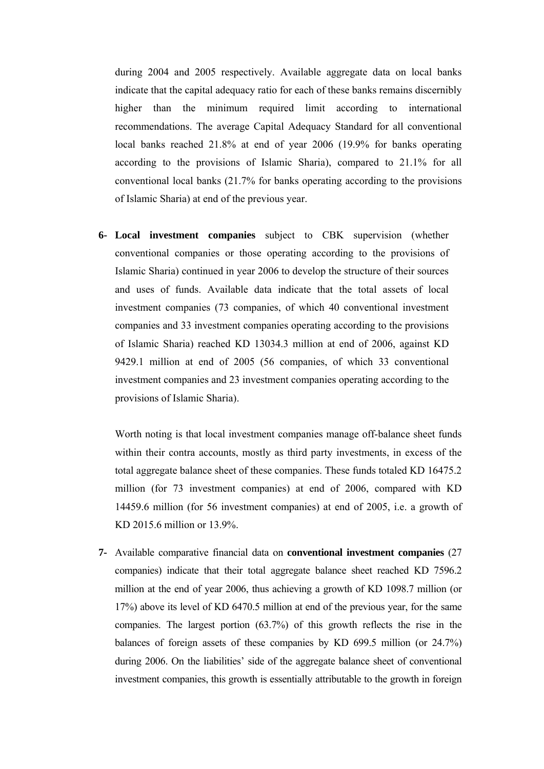during 2004 and 2005 respectively. Available aggregate data on local banks indicate that the capital adequacy ratio for each of these banks remains discernibly higher than the minimum required limit according to international recommendations. The average Capital Adequacy Standard for all conventional local banks reached 21.8% at end of year 2006 (19.9% for banks operating according to the provisions of Islamic Sharia), compared to 21.1% for all conventional local banks (21.7% for banks operating according to the provisions of Islamic Sharia) at end of the previous year.

**6- Local investment companies** subject to CBK supervision (whether conventional companies or those operating according to the provisions of Islamic Sharia) continued in year 2006 to develop the structure of their sources and uses of funds. Available data indicate that the total assets of local investment companies (73 companies, of which 40 conventional investment companies and 33 investment companies operating according to the provisions of Islamic Sharia) reached KD 13034.3 million at end of 2006, against KD 9429.1 million at end of 2005 (56 companies, of which 33 conventional investment companies and 23 investment companies operating according to the provisions of Islamic Sharia).

Worth noting is that local investment companies manage off-balance sheet funds within their contra accounts, mostly as third party investments, in excess of the total aggregate balance sheet of these companies. These funds totaled KD 16475.2 million (for 73 investment companies) at end of 2006, compared with KD 14459.6 million (for 56 investment companies) at end of 2005, i.e. a growth of KD 2015.6 million or 13.9%.

**7-** Available comparative financial data on **conventional investment companies** (27 companies) indicate that their total aggregate balance sheet reached KD 7596.2 million at the end of year 2006, thus achieving a growth of KD 1098.7 million (or 17%) above its level of KD 6470.5 million at end of the previous year, for the same companies. The largest portion (63.7%) of this growth reflects the rise in the balances of foreign assets of these companies by KD 699.5 million (or 24.7%) during 2006. On the liabilities' side of the aggregate balance sheet of conventional investment companies, this growth is essentially attributable to the growth in foreign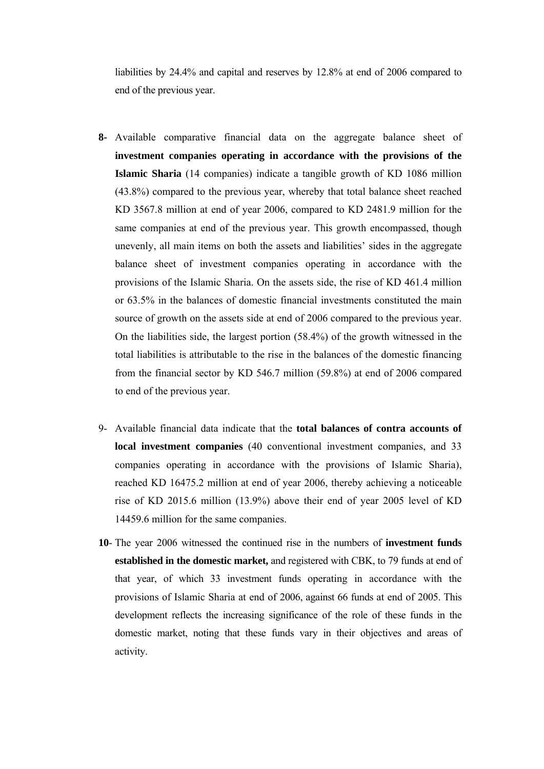liabilities by 24.4% and capital and reserves by 12.8% at end of 2006 compared to end of the previous year.

- **8-** Available comparative financial data on the aggregate balance sheet of **investment companies operating in accordance with the provisions of the Islamic Sharia** (14 companies) indicate a tangible growth of KD 1086 million (43.8%) compared to the previous year, whereby that total balance sheet reached KD 3567.8 million at end of year 2006, compared to KD 2481.9 million for the same companies at end of the previous year. This growth encompassed, though unevenly, all main items on both the assets and liabilities' sides in the aggregate balance sheet of investment companies operating in accordance with the provisions of the Islamic Sharia. On the assets side, the rise of KD 461.4 million or 63.5% in the balances of domestic financial investments constituted the main source of growth on the assets side at end of 2006 compared to the previous year. On the liabilities side, the largest portion (58.4%) of the growth witnessed in the total liabilities is attributable to the rise in the balances of the domestic financing from the financial sector by KD 546.7 million (59.8%) at end of 2006 compared to end of the previous year.
- 9- Available financial data indicate that the **total balances of contra accounts of local investment companies** (40 conventional investment companies, and 33 companies operating in accordance with the provisions of Islamic Sharia), reached KD 16475.2 million at end of year 2006, thereby achieving a noticeable rise of KD 2015.6 million (13.9%) above their end of year 2005 level of KD 14459.6 million for the same companies.
- **10** The year 2006 witnessed the continued rise in the numbers of **investment funds established in the domestic market,** and registered with CBK, to 79 funds at end of that year, of which 33 investment funds operating in accordance with the provisions of Islamic Sharia at end of 2006, against 66 funds at end of 2005. This development reflects the increasing significance of the role of these funds in the domestic market, noting that these funds vary in their objectives and areas of activity.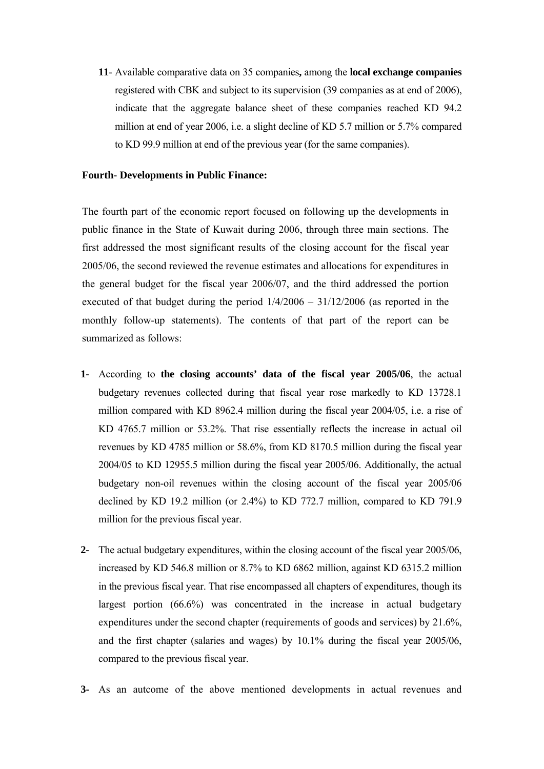**11**- Available comparative data on 35 companies**,** among the **local exchange companies** registered with CBK and subject to its supervision (39 companies as at end of 2006), indicate that the aggregate balance sheet of these companies reached KD 94.2 million at end of year 2006, i.e. a slight decline of KD 5.7 million or 5.7% compared to KD 99.9 million at end of the previous year (for the same companies).

### **Fourth- Developments in Public Finance:**

The fourth part of the economic report focused on following up the developments in public finance in the State of Kuwait during 2006, through three main sections. The first addressed the most significant results of the closing account for the fiscal year 2005/06, the second reviewed the revenue estimates and allocations for expenditures in the general budget for the fiscal year 2006/07, and the third addressed the portion executed of that budget during the period 1/4/2006 – 31/12/2006 (as reported in the monthly follow-up statements). The contents of that part of the report can be summarized as follows:

- **1-** According to **the closing accounts' data of the fiscal year 2005/06**, the actual budgetary revenues collected during that fiscal year rose markedly to KD 13728.1 million compared with KD 8962.4 million during the fiscal year 2004/05, i.e. a rise of KD 4765.7 million or 53.2%. That rise essentially reflects the increase in actual oil revenues by KD 4785 million or 58.6%, from KD 8170.5 million during the fiscal year 2004/05 to KD 12955.5 million during the fiscal year 2005/06. Additionally, the actual budgetary non-oil revenues within the closing account of the fiscal year 2005/06 declined by KD 19.2 million (or 2.4%) to KD 772.7 million, compared to KD 791.9 million for the previous fiscal year.
- **2-** The actual budgetary expenditures, within the closing account of the fiscal year 2005/06, increased by KD 546.8 million or 8.7% to KD 6862 million, against KD 6315.2 million in the previous fiscal year. That rise encompassed all chapters of expenditures, though its largest portion (66.6%) was concentrated in the increase in actual budgetary expenditures under the second chapter (requirements of goods and services) by 21.6%, and the first chapter (salaries and wages) by 10.1% during the fiscal year 2005/06, compared to the previous fiscal year.
- **3-** As an autcome of the above mentioned developments in actual revenues and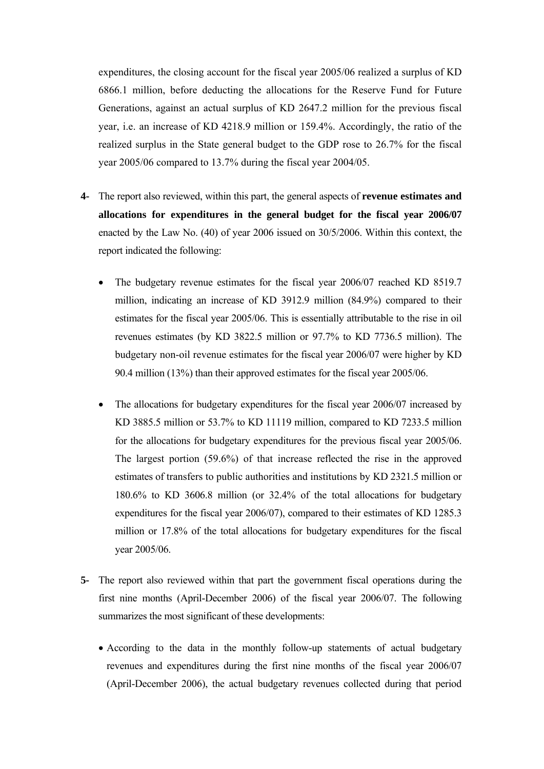expenditures, the closing account for the fiscal year 2005/06 realized a surplus of KD 6866.1 million, before deducting the allocations for the Reserve Fund for Future Generations, against an actual surplus of KD 2647.2 million for the previous fiscal year, i.e. an increase of KD 4218.9 million or 159.4%. Accordingly, the ratio of the realized surplus in the State general budget to the GDP rose to 26.7% for the fiscal year 2005/06 compared to 13.7% during the fiscal year 2004/05.

- **4-** The report also reviewed, within this part, the general aspects of **revenue estimates and allocations for expenditures in the general budget for the fiscal year 2006/07**  enacted by the Law No. (40) of year 2006 issued on 30/5/2006. Within this context, the report indicated the following:
	- The budgetary revenue estimates for the fiscal year 2006/07 reached KD 8519.7 million, indicating an increase of KD 3912.9 million (84.9%) compared to their estimates for the fiscal year 2005/06. This is essentially attributable to the rise in oil revenues estimates (by KD 3822.5 million or 97.7% to KD 7736.5 million). The budgetary non-oil revenue estimates for the fiscal year 2006/07 were higher by KD 90.4 million (13%) than their approved estimates for the fiscal year 2005/06.
	- The allocations for budgetary expenditures for the fiscal year 2006/07 increased by KD 3885.5 million or 53.7% to KD 11119 million, compared to KD 7233.5 million for the allocations for budgetary expenditures for the previous fiscal year 2005/06. The largest portion (59.6%) of that increase reflected the rise in the approved estimates of transfers to public authorities and institutions by KD 2321.5 million or 180.6% to KD 3606.8 million (or 32.4% of the total allocations for budgetary expenditures for the fiscal year 2006/07), compared to their estimates of KD 1285.3 million or 17.8% of the total allocations for budgetary expenditures for the fiscal year 2005/06.
- **5-** The report also reviewed within that part the government fiscal operations during the first nine months (April-December 2006) of the fiscal year 2006/07. The following summarizes the most significant of these developments:
	- According to the data in the monthly follow-up statements of actual budgetary revenues and expenditures during the first nine months of the fiscal year 2006/07 (April-December 2006), the actual budgetary revenues collected during that period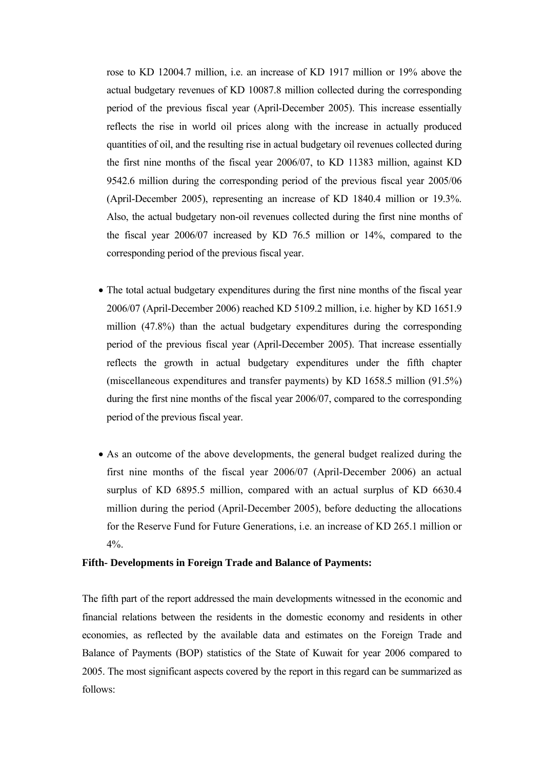rose to KD 12004.7 million, i.e. an increase of KD 1917 million or 19% above the actual budgetary revenues of KD 10087.8 million collected during the corresponding period of the previous fiscal year (April-December 2005). This increase essentially reflects the rise in world oil prices along with the increase in actually produced quantities of oil, and the resulting rise in actual budgetary oil revenues collected during the first nine months of the fiscal year 2006/07, to KD 11383 million, against KD 9542.6 million during the corresponding period of the previous fiscal year 2005/06 (April-December 2005), representing an increase of KD 1840.4 million or 19.3%. Also, the actual budgetary non-oil revenues collected during the first nine months of the fiscal year 2006/07 increased by KD 76.5 million or 14%, compared to the corresponding period of the previous fiscal year.

- The total actual budgetary expenditures during the first nine months of the fiscal year 2006/07 (April-December 2006) reached KD 5109.2 million, i.e. higher by KD 1651.9 million (47.8%) than the actual budgetary expenditures during the corresponding period of the previous fiscal year (April-December 2005). That increase essentially reflects the growth in actual budgetary expenditures under the fifth chapter (miscellaneous expenditures and transfer payments) by KD 1658.5 million (91.5%) during the first nine months of the fiscal year 2006/07, compared to the corresponding period of the previous fiscal year.
- As an outcome of the above developments, the general budget realized during the first nine months of the fiscal year 2006/07 (April-December 2006) an actual surplus of KD 6895.5 million, compared with an actual surplus of KD 6630.4 million during the period (April-December 2005), before deducting the allocations for the Reserve Fund for Future Generations, i.e. an increase of KD 265.1 million or  $4\%$

### **Fifth- Developments in Foreign Trade and Balance of Payments:**

The fifth part of the report addressed the main developments witnessed in the economic and financial relations between the residents in the domestic economy and residents in other economies, as reflected by the available data and estimates on the Foreign Trade and Balance of Payments (BOP) statistics of the State of Kuwait for year 2006 compared to 2005. The most significant aspects covered by the report in this regard can be summarized as follows: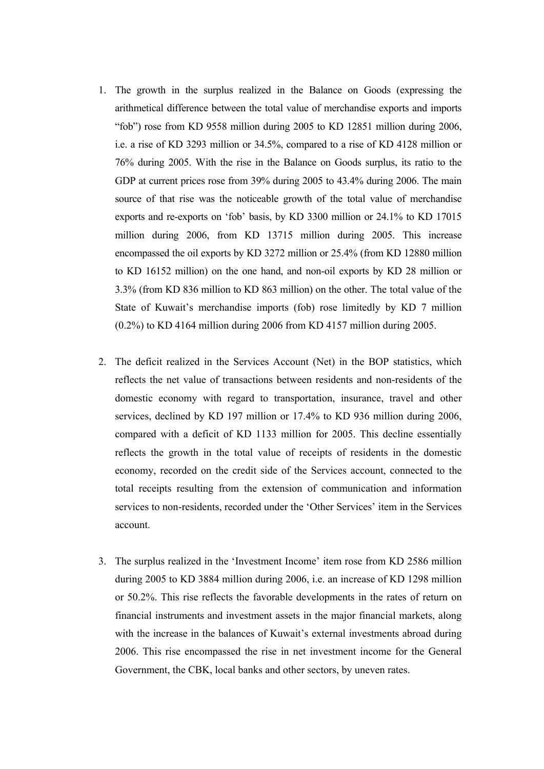- 1. The growth in the surplus realized in the Balance on Goods (expressing the arithmetical difference between the total value of merchandise exports and imports "fob") rose from KD 9558 million during 2005 to KD 12851 million during 2006, i.e. a rise of KD 3293 million or 34.5%, compared to a rise of KD 4128 million or 76% during 2005. With the rise in the Balance on Goods surplus, its ratio to the GDP at current prices rose from 39% during 2005 to 43.4% during 2006. The main source of that rise was the noticeable growth of the total value of merchandise exports and re-exports on 'fob' basis, by KD 3300 million or 24.1% to KD 17015 million during 2006, from KD 13715 million during 2005. This increase encompassed the oil exports by KD 3272 million or 25.4% (from KD 12880 million to KD 16152 million) on the one hand, and non-oil exports by KD 28 million or 3.3% (from KD 836 million to KD 863 million) on the other. The total value of the State of Kuwait's merchandise imports (fob) rose limitedly by KD 7 million (0.2%) to KD 4164 million during 2006 from KD 4157 million during 2005.
- 2. The deficit realized in the Services Account (Net) in the BOP statistics, which reflects the net value of transactions between residents and non-residents of the domestic economy with regard to transportation, insurance, travel and other services, declined by KD 197 million or 17.4% to KD 936 million during 2006, compared with a deficit of KD 1133 million for 2005. This decline essentially reflects the growth in the total value of receipts of residents in the domestic economy, recorded on the credit side of the Services account, connected to the total receipts resulting from the extension of communication and information services to non-residents, recorded under the 'Other Services' item in the Services account.
- 3. The surplus realized in the 'Investment Income' item rose from KD 2586 million during 2005 to KD 3884 million during 2006, i.e. an increase of KD 1298 million or 50.2%. This rise reflects the favorable developments in the rates of return on financial instruments and investment assets in the major financial markets, along with the increase in the balances of Kuwait's external investments abroad during 2006. This rise encompassed the rise in net investment income for the General Government, the CBK, local banks and other sectors, by uneven rates.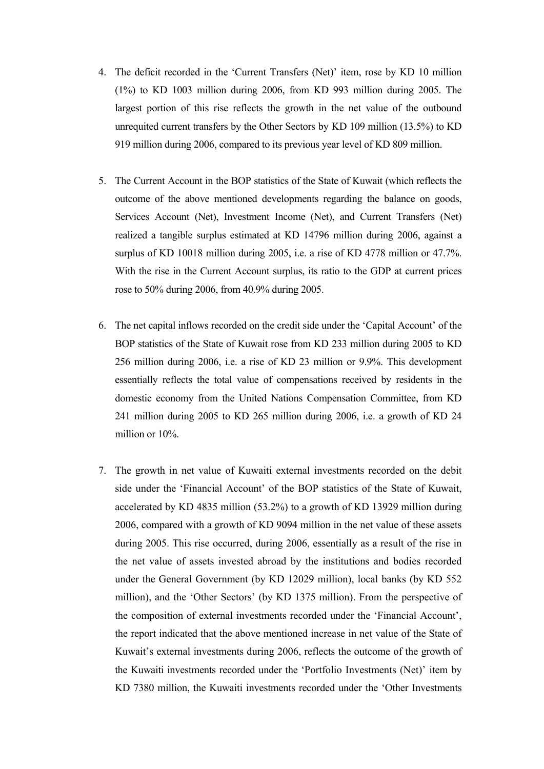- 4. The deficit recorded in the 'Current Transfers (Net)' item, rose by KD 10 million (1%) to KD 1003 million during 2006, from KD 993 million during 2005. The largest portion of this rise reflects the growth in the net value of the outbound unrequited current transfers by the Other Sectors by KD 109 million (13.5%) to KD 919 million during 2006, compared to its previous year level of KD 809 million.
- 5. The Current Account in the BOP statistics of the State of Kuwait (which reflects the outcome of the above mentioned developments regarding the balance on goods, Services Account (Net), Investment Income (Net), and Current Transfers (Net) realized a tangible surplus estimated at KD 14796 million during 2006, against a surplus of KD 10018 million during 2005, i.e. a rise of KD 4778 million or 47.7%. With the rise in the Current Account surplus, its ratio to the GDP at current prices rose to 50% during 2006, from 40.9% during 2005.
- 6. The net capital inflows recorded on the credit side under the 'Capital Account' of the BOP statistics of the State of Kuwait rose from KD 233 million during 2005 to KD 256 million during 2006, i.e. a rise of KD 23 million or 9.9%. This development essentially reflects the total value of compensations received by residents in the domestic economy from the United Nations Compensation Committee, from KD 241 million during 2005 to KD 265 million during 2006, i.e. a growth of KD 24 million or 10%.
- 7. The growth in net value of Kuwaiti external investments recorded on the debit side under the 'Financial Account' of the BOP statistics of the State of Kuwait, accelerated by KD 4835 million (53.2%) to a growth of KD 13929 million during 2006, compared with a growth of KD 9094 million in the net value of these assets during 2005. This rise occurred, during 2006, essentially as a result of the rise in the net value of assets invested abroad by the institutions and bodies recorded under the General Government (by KD 12029 million), local banks (by KD 552 million), and the 'Other Sectors' (by KD 1375 million). From the perspective of the composition of external investments recorded under the 'Financial Account', the report indicated that the above mentioned increase in net value of the State of Kuwait's external investments during 2006, reflects the outcome of the growth of the Kuwaiti investments recorded under the 'Portfolio Investments (Net)' item by KD 7380 million, the Kuwaiti investments recorded under the 'Other Investments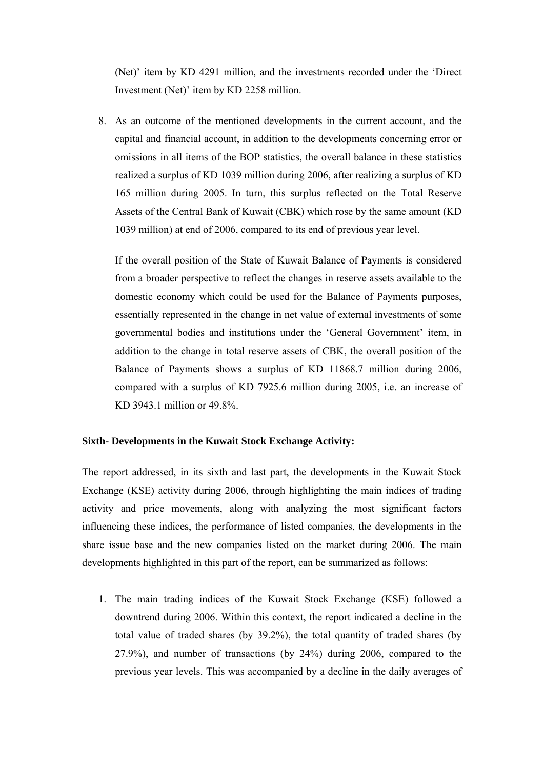(Net)' item by KD 4291 million, and the investments recorded under the 'Direct Investment (Net)' item by KD 2258 million.

8. As an outcome of the mentioned developments in the current account, and the capital and financial account, in addition to the developments concerning error or omissions in all items of the BOP statistics, the overall balance in these statistics realized a surplus of KD 1039 million during 2006, after realizing a surplus of KD 165 million during 2005. In turn, this surplus reflected on the Total Reserve Assets of the Central Bank of Kuwait (CBK) which rose by the same amount (KD 1039 million) at end of 2006, compared to its end of previous year level.

If the overall position of the State of Kuwait Balance of Payments is considered from a broader perspective to reflect the changes in reserve assets available to the domestic economy which could be used for the Balance of Payments purposes, essentially represented in the change in net value of external investments of some governmental bodies and institutions under the 'General Government' item, in addition to the change in total reserve assets of CBK, the overall position of the Balance of Payments shows a surplus of KD 11868.7 million during 2006, compared with a surplus of KD 7925.6 million during 2005, i.e. an increase of KD 3943.1 million or 49.8%.

## **Sixth- Developments in the Kuwait Stock Exchange Activity:**

The report addressed, in its sixth and last part, the developments in the Kuwait Stock Exchange (KSE) activity during 2006, through highlighting the main indices of trading activity and price movements, along with analyzing the most significant factors influencing these indices, the performance of listed companies, the developments in the share issue base and the new companies listed on the market during 2006. The main developments highlighted in this part of the report, can be summarized as follows:

1. The main trading indices of the Kuwait Stock Exchange (KSE) followed a downtrend during 2006. Within this context, the report indicated a decline in the total value of traded shares (by 39.2%), the total quantity of traded shares (by 27.9%), and number of transactions (by 24%) during 2006, compared to the previous year levels. This was accompanied by a decline in the daily averages of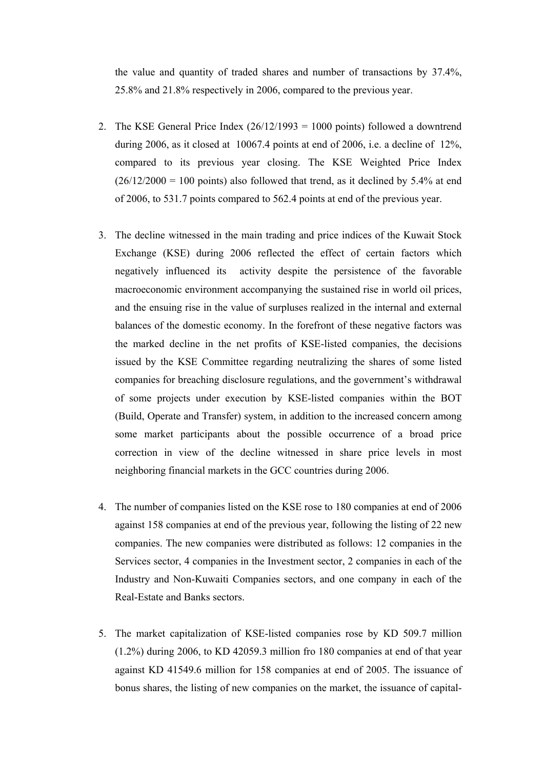the value and quantity of traded shares and number of transactions by 37.4%, 25.8% and 21.8% respectively in 2006, compared to the previous year.

- 2. The KSE General Price Index  $(26/12/1993 = 1000 \text{ points})$  followed a downtrend during 2006, as it closed at 10067.4 points at end of 2006, i.e. a decline of 12%, compared to its previous year closing. The KSE Weighted Price Index  $(26/12/2000 = 100$  points) also followed that trend, as it declined by 5.4% at end of 2006, to 531.7 points compared to 562.4 points at end of the previous year.
- 3. The decline witnessed in the main trading and price indices of the Kuwait Stock Exchange (KSE) during 2006 reflected the effect of certain factors which negatively influenced its activity despite the persistence of the favorable macroeconomic environment accompanying the sustained rise in world oil prices, and the ensuing rise in the value of surpluses realized in the internal and external balances of the domestic economy. In the forefront of these negative factors was the marked decline in the net profits of KSE-listed companies, the decisions issued by the KSE Committee regarding neutralizing the shares of some listed companies for breaching disclosure regulations, and the government's withdrawal of some projects under execution by KSE-listed companies within the BOT (Build, Operate and Transfer) system, in addition to the increased concern among some market participants about the possible occurrence of a broad price correction in view of the decline witnessed in share price levels in most neighboring financial markets in the GCC countries during 2006.
- 4. The number of companies listed on the KSE rose to 180 companies at end of 2006 against 158 companies at end of the previous year, following the listing of 22 new companies. The new companies were distributed as follows: 12 companies in the Services sector, 4 companies in the Investment sector, 2 companies in each of the Industry and Non-Kuwaiti Companies sectors, and one company in each of the Real-Estate and Banks sectors.
- 5. The market capitalization of KSE-listed companies rose by KD 509.7 million (1.2%) during 2006, to KD 42059.3 million fro 180 companies at end of that year against KD 41549.6 million for 158 companies at end of 2005. The issuance of bonus shares, the listing of new companies on the market, the issuance of capital-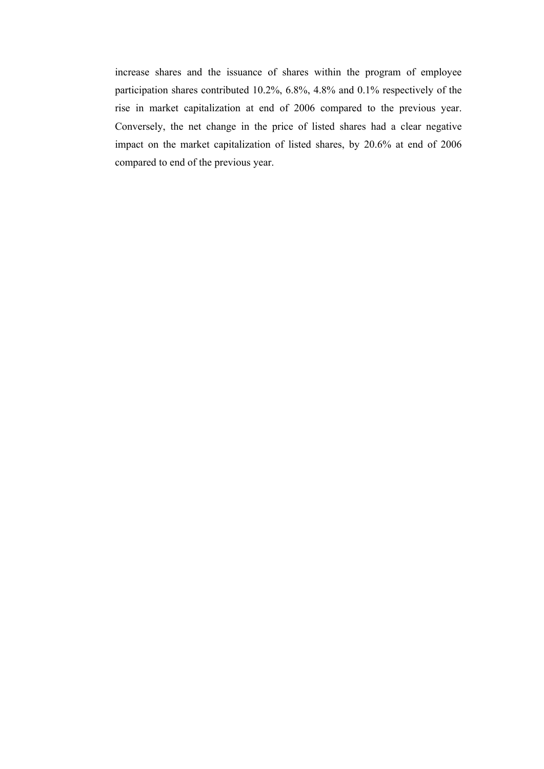increase shares and the issuance of shares within the program of employee participation shares contributed 10.2%, 6.8%, 4.8% and 0.1% respectively of the rise in market capitalization at end of 2006 compared to the previous year. Conversely, the net change in the price of listed shares had a clear negative impact on the market capitalization of listed shares, by 20.6% at end of 2006 compared to end of the previous year.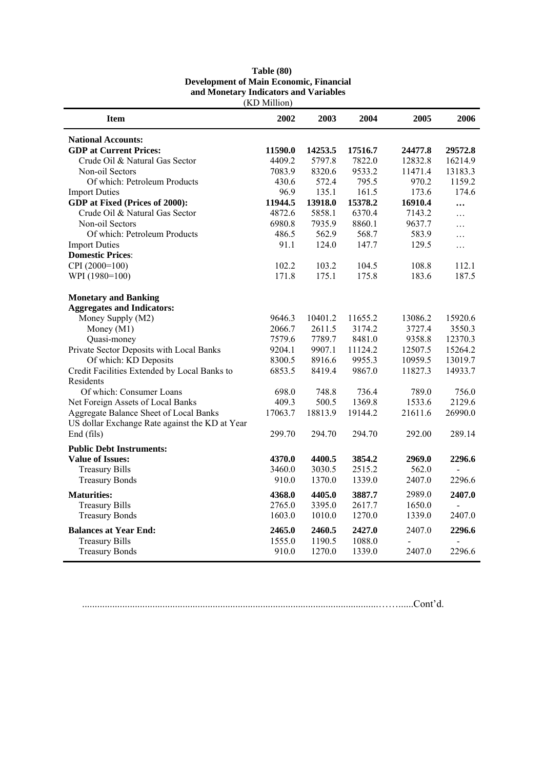| <b>Item</b>                                    | LAD MILLION<br>2002 | 2003    | 2004    | 2005    | 2006    |
|------------------------------------------------|---------------------|---------|---------|---------|---------|
| <b>National Accounts:</b>                      |                     |         |         |         |         |
| <b>GDP</b> at Current Prices:                  | 11590.0             | 14253.5 | 17516.7 | 24477.8 | 29572.8 |
| Crude Oil & Natural Gas Sector                 | 4409.2              | 5797.8  | 7822.0  | 12832.8 | 16214.9 |
| Non-oil Sectors                                | 7083.9              | 8320.6  | 9533.2  | 11471.4 | 13183.3 |
| Of which: Petroleum Products                   | 430.6               | 572.4   | 795.5   | 970.2   | 1159.2  |
| <b>Import Duties</b>                           | 96.9                | 135.1   | 161.5   | 173.6   | 174.6   |
| GDP at Fixed (Prices of 2000):                 | 11944.5             | 13918.0 | 15378.2 | 16910.4 |         |
| Crude Oil & Natural Gas Sector                 | 4872.6              | 5858.1  | 6370.4  | 7143.2  | .       |
| Non-oil Sectors                                | 6980.8              | 7935.9  | 8860.1  | 9637.7  | .       |
| Of which: Petroleum Products                   | 486.5               | 562.9   | 568.7   | 583.9   | .       |
| <b>Import Duties</b>                           | 91.1                | 124.0   | 147.7   | 129.5   | .       |
| <b>Domestic Prices:</b>                        |                     |         |         |         |         |
| CPI (2000=100)                                 | 102.2               | 103.2   | 104.5   | 108.8   | 112.1   |
| WPI (1980=100)                                 | 171.8               | 175.1   | 175.8   | 183.6   | 187.5   |
| <b>Monetary and Banking</b>                    |                     |         |         |         |         |
| <b>Aggregates and Indicators:</b>              |                     |         |         |         |         |
| Money Supply (M2)                              | 9646.3              | 10401.2 | 11655.2 | 13086.2 | 15920.6 |
| Money (M1)                                     | 2066.7              | 2611.5  | 3174.2  | 3727.4  | 3550.3  |
| Quasi-money                                    | 7579.6              | 7789.7  | 8481.0  | 9358.8  | 12370.3 |
| Private Sector Deposits with Local Banks       | 9204.1              | 9907.1  | 11124.2 | 12507.5 | 15264.2 |
| Of which: KD Deposits                          | 8300.5              | 8916.6  | 9955.3  | 10959.5 | 13019.7 |
| Credit Facilities Extended by Local Banks to   | 6853.5              | 8419.4  | 9867.0  | 11827.3 | 14933.7 |
| Residents                                      |                     |         |         |         |         |
| Of which: Consumer Loans                       | 698.0               | 748.8   | 736.4   | 789.0   | 756.0   |
| Net Foreign Assets of Local Banks              | 409.3               | 500.5   | 1369.8  | 1533.6  | 2129.6  |
| Aggregate Balance Sheet of Local Banks         | 17063.7             | 18813.9 | 19144.2 | 21611.6 | 26990.0 |
| US dollar Exchange Rate against the KD at Year |                     |         |         |         |         |
| End (fils)                                     | 299.70              | 294.70  | 294.70  | 292.00  | 289.14  |
| <b>Public Debt Instruments:</b>                |                     |         |         |         |         |
| <b>Value of Issues:</b>                        | 4370.0              | 4400.5  | 3854.2  | 2969.0  | 2296.6  |
| <b>Treasury Bills</b>                          | 3460.0              | 3030.5  | 2515.2  | 562.0   |         |
| <b>Treasury Bonds</b>                          | 910.0               | 1370.0  | 1339.0  | 2407.0  | 2296.6  |
| <b>Maturities:</b>                             | 4368.0              | 4405.0  | 3887.7  | 2989.0  | 2407.0  |
| <b>Treasury Bills</b>                          | 2765.0              | 3395.0  | 2617.7  | 1650.0  |         |
| <b>Treasury Bonds</b>                          | 1603.0              | 1010.0  | 1270.0  | 1339.0  | 2407.0  |
| <b>Balances at Year End:</b>                   | 2465.0              | 2460.5  | 2427.0  | 2407.0  | 2296.6  |
| <b>Treasury Bills</b>                          | 1555.0              | 1190.5  | 1088.0  |         |         |
| <b>Treasury Bonds</b>                          | 910.0               | 1270.0  | 1339.0  | 2407.0  | 2296.6  |

#### **Table (80) Development of Main Economic, Financial and Monetary Indicators and Variables**  (KD Million)

......................................................................................................................……......Cont'd.